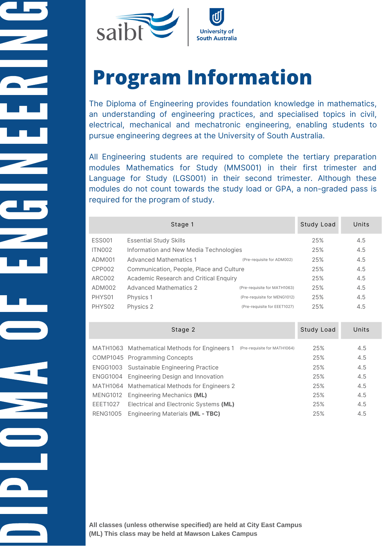

# **Program Information**

The Diploma of Engineering provides foundation knowledge in mathematics, an understanding of engineering practices, and specialised topics in civil, electrical, mechanical and mechatronic engineering, enabling students to pursue engineering degrees at the University of South Australia.

All Engineering students are required to complete the tertiary preparation modules Mathematics for Study (MMS001) in their first trimester and Language for Study (LGS001) in their second trimester. Although these modules do not count towards the study load or GPA, a non-graded pass is required for the program of study.

|               | Stage 1                                  |                              | Study Load | Units |
|---------------|------------------------------------------|------------------------------|------------|-------|
| <b>ESS001</b> | <b>Essential Study Skills</b>            |                              | 25%        | 4.5   |
| ITN002        | Information and New Media Technologies   |                              |            | 4.5   |
| ADM001        | <b>Advanced Mathematics 1</b>            | (Pre-requisite for ADM002)   | 25%        | 4.5   |
| CPP002        | Communication, People, Place and Culture |                              | 25%        | 4.5   |
| ARC002        | Academic Research and Critical Enquiry   |                              | 25%        | 4.5   |
| ADM002        | <b>Advanced Mathematics 2</b>            | (Pre-requisite for MATH1063) | 25%        | 4.5   |
| PHYS01        | Physics 1                                | (Pre-requisite for MENG1012) | 25%        | 4.5   |
| PHYS02        | Physics 2                                | (Pre-requisite for EEET1027) | 25%        | 4.5   |
|               |                                          |                              |            |       |

|                 | Stage 2                                          |                              | Study Load | Units |
|-----------------|--------------------------------------------------|------------------------------|------------|-------|
|                 | MATH1063 Mathematical Methods for Engineers 1    | (Pre-requisite for MATH1064) | 25%        | 4.5   |
|                 | COMP1045 Programming Concepts                    |                              | 25%        | 4.5   |
|                 | <b>ENGG1003</b> Sustainable Engineering Practice |                              | 25%        | 4.5   |
|                 | ENGG1004 Engineering Design and Innovation       |                              | 25%        | 4.5   |
|                 | MATH1064 Mathematical Methods for Engineers 2    |                              | 25%        | 4.5   |
|                 | MENG1012 Engineering Mechanics (ML)              |                              | 25%        | 4.5   |
| <b>EEET1027</b> | Electrical and Electronic Systems (ML)           |                              | 25%        | 4.5   |
| RENG1005        | Engineering Materials (ML - TBC)                 |                              | 25%        | 4.5   |